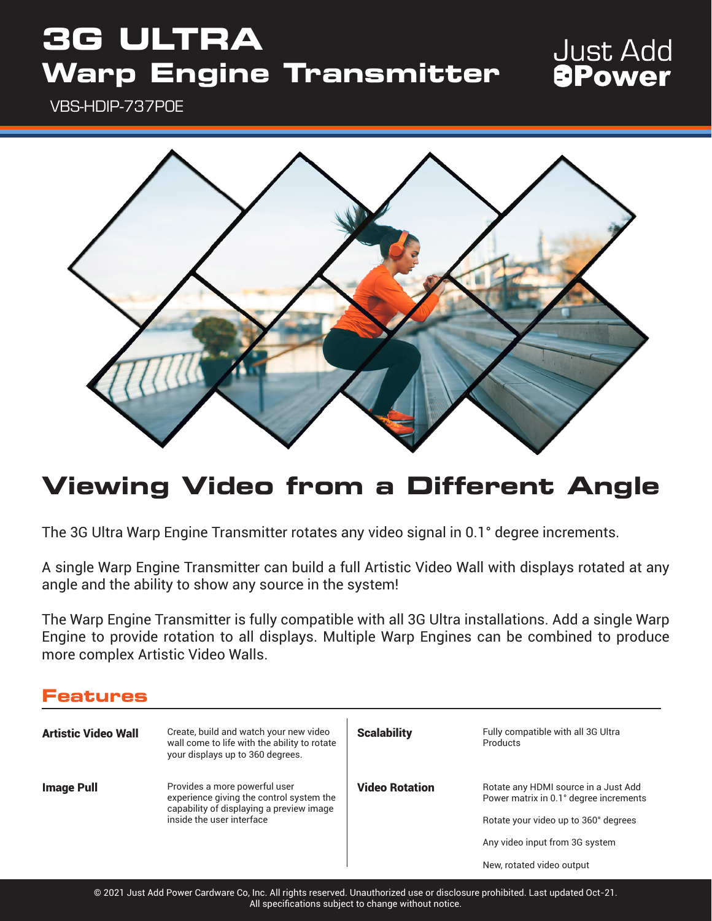# **3G ULTRA Warp Engine Transmitter**

### **Just Add** *<u>APower</u>*

VBS-HDIP-737POE



## **Viewing Video from a Different Angle**

The 3G Ultra Warp Engine Transmitter rotates any video signal in 0.1° degree increments.

A single Warp Engine Transmitter can build a full Artistic Video Wall with displays rotated at any angle and the ability to show any source in the system!

The Warp Engine Transmitter is fully compatible with all 3G Ultra installations. Add a single Warp Engine to provide rotation to all displays. Multiple Warp Engines can be combined to produce more complex Artistic Video Walls.

| <b>Features</b>            |                                                                                                                                                    |                       |                                                                                                                                                                                       |
|----------------------------|----------------------------------------------------------------------------------------------------------------------------------------------------|-----------------------|---------------------------------------------------------------------------------------------------------------------------------------------------------------------------------------|
| <b>Artistic Video Wall</b> | Create, build and watch your new video<br>wall come to life with the ability to rotate<br>your displays up to 360 degrees.                         | <b>Scalability</b>    | Fully compatible with all 3G Ultra<br>Products                                                                                                                                        |
| <b>Image Pull</b>          | Provides a more powerful user<br>experience giving the control system the<br>capability of displaying a preview image<br>inside the user interface | <b>Video Rotation</b> | Rotate any HDMI source in a Just Add<br>Power matrix in 0.1° degree increments<br>Rotate your video up to 360° degrees<br>Any video input from 3G system<br>New, rotated video output |